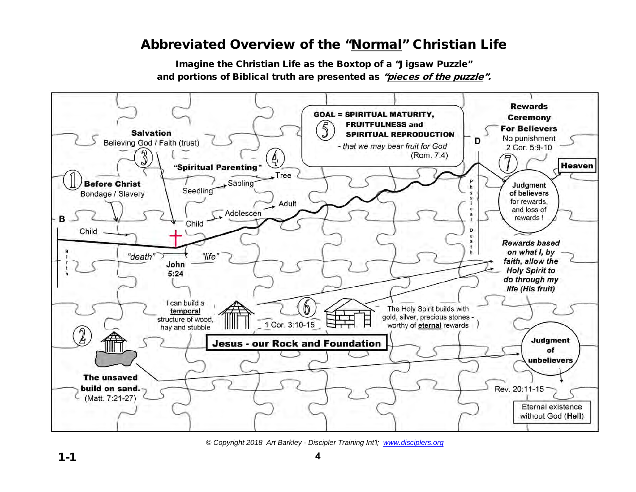## Abbreviated Overview of the "Normal" Christian Life

Imagine the Christian Life as the Boxtop of a "Jigsaw Puzzle" and portions of Biblical truth are presented as "pieces of the puzzle".



*© Copyright 2018 Art Barkley - Discipler Training Int'l; [www.disciplers.org](http://www.disciplers.org/)*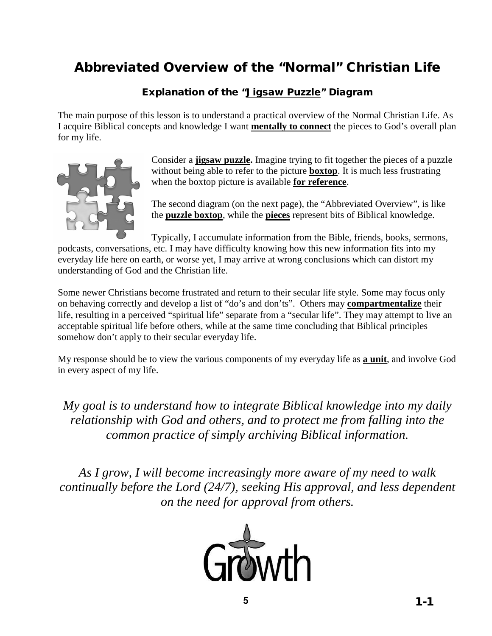# Abbreviated Overview of the "Normal" Christian Life

#### Explanation of the "Jigsaw Puzzle" Diagram

The main purpose of this lesson is to understand a practical overview of the Normal Christian Life. As I acquire Biblical concepts and knowledge I want **mentally to connect** the pieces to God's overall plan for my life.



Consider a **jigsaw puzzle.** Imagine trying to fit together the pieces of a puzzle without being able to refer to the picture **boxtop**. It is much less frustrating when the boxtop picture is available **for reference**.

The second diagram (on the next page), the "Abbreviated Overview", is like the **puzzle boxtop**, while the **pieces** represent bits of Biblical knowledge.

Typically, I accumulate information from the Bible, friends, books, sermons,

podcasts, conversations, etc. I may have difficulty knowing how this new information fits into my everyday life here on earth, or worse yet, I may arrive at wrong conclusions which can distort my understanding of God and the Christian life.

Some newer Christians become frustrated and return to their secular life style. Some may focus only on behaving correctly and develop a list of "do's and don'ts". Others may **compartmentalize** their life, resulting in a perceived "spiritual life" separate from a "secular life". They may attempt to live an acceptable spiritual life before others, while at the same time concluding that Biblical principles somehow don't apply to their secular everyday life.

My response should be to view the various components of my everyday life as **a unit**, and involve God in every aspect of my life.

*My goal is to understand how to integrate Biblical knowledge into my daily relationship with God and others, and to protect me from falling into the common practice of simply archiving Biblical information.*

*As I grow, I will become increasingly more aware of my need to walk continually before the Lord (24/7), seeking His approval, and less dependent on the need for approval from others.*

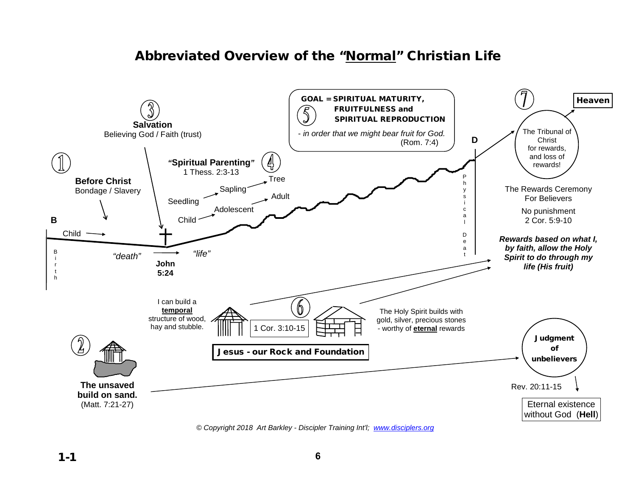## Abbreviated Overview of the "Normal" Christian Life



*© Copyright 2018 Art Barkley - Discipler Training Int'l; [www.disciplers.org](http://www.disciplers.org/)*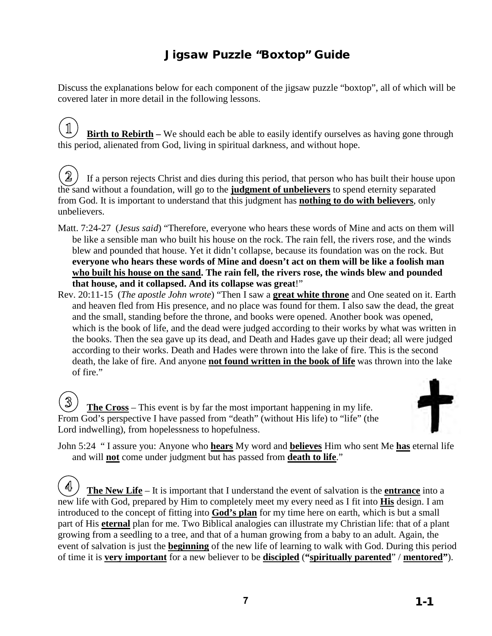## Jigsaw Puzzle "Boxtop" Guide

Discuss the explanations below for each component of the jigsaw puzzle "boxtop", all of which will be covered later in more detail in the following lessons.

 $\mathbb{1}$ **Birth to Rebirth** – We should each be able to easily identify ourselves as having gone through this period, alienated from God, living in spiritual darkness, and without hope.

 $\mathbf{2}$ If a person rejects Christ and dies during this period, that person who has built their house upon the sand without a foundation, will go to the **judgment of unbelievers** to spend eternity separated from God. It is important to understand that this judgment has **nothing to do with believers**, only unbelievers.

- Matt. 7:24-27 (*Jesus said*) "Therefore, everyone who hears these words of Mine and acts on them will be like a sensible man who built his house on the rock. The rain fell, the rivers rose, and the winds blew and pounded that house. Yet it didn't collapse, because its foundation was on the rock. But **everyone who hears these words of Mine and doesn't act on them will be like a foolish man who built his house on the sand. The rain fell, the rivers rose, the winds blew and pounded that house, and it collapsed. And its collapse was great**!"
- Rev. 20:11-15 (*The apostle John wrote*) "Then I saw a **great white throne** and One seated on it. Earth and heaven fled from His presence, and no place was found for them. I also saw the dead, the great and the small, standing before the throne, and books were opened. Another book was opened, which is the book of life, and the dead were judged according to their works by what was written in the books. Then the sea gave up its dead, and Death and Hades gave up their dead; all were judged according to their works. Death and Hades were thrown into the lake of fire. This is the second death, the lake of fire. And anyone **not found written in the book of life** was thrown into the lake of fire."

 $\mathbb{3}$ **The Cross** – This event is by far the most important happening in my life. From God's perspective I have passed from "death" (without His life) to "life" (the Lord indwelling), from hopelessness to hopefulness.



John 5:24 " I assure you: Anyone who **hears** My word and **believes** Him who sent Me **has** eternal life and will **not** come under judgment but has passed from **death to life**."

 $\mathcal{A}$ **The New Life** – It is important that I understand the event of salvation is the **entrance** into a new life with God, prepared by Him to completely meet my every need as I fit into **His** design. I am introduced to the concept of fitting into **God's plan** for my time here on earth, which is but a small part of His **eternal** plan for me. Two Biblical analogies can illustrate my Christian life: that of a plant growing from a seedling to a tree, and that of a human growing from a baby to an adult. Again, the event of salvation is just the **beginning** of the new life of learning to walk with God. During this period of time it is **very important** for a new believer to be **discipled** (**"spiritually parented**" / **mentored"**).